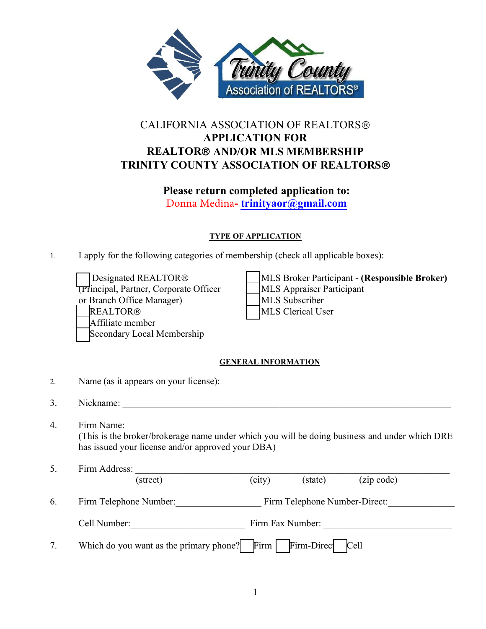

# Please return completed application to:

### TYPE OF APPLICATION

|    | Association of REALTORS <sup>®</sup>                                                                                                                                                                                                                                                 |
|----|--------------------------------------------------------------------------------------------------------------------------------------------------------------------------------------------------------------------------------------------------------------------------------------|
|    | <b>CALIFORNIA ASSOCIATION OF REALTORS®</b><br><b>APPLICATION FOR</b><br><b>REALTOR® AND/OR MLS MEMBERSHIP</b><br>TRINITY COUNTY ASSOCIATION OF REALTORS®                                                                                                                             |
|    | Please return completed application to:<br>Donna Medina-trinityaor@gmail.com                                                                                                                                                                                                         |
|    | <b>TYPE OF APPLICATION</b>                                                                                                                                                                                                                                                           |
| 1. | I apply for the following categories of membership (check all applicable boxes):                                                                                                                                                                                                     |
|    | Designated REALTOR®<br>MLS Broker Participant - (Responsible Broker)<br>(Principal, Partner, Corporate Officer<br>MLS Appraiser Participant<br>MLS Subscriber<br>or Branch Office Manager)<br><b>REALTOR®</b><br>MLS Clerical User<br>Affiliate member<br>Secondary Local Membership |
|    | <b>GENERAL INFORMATION</b>                                                                                                                                                                                                                                                           |
| 2. | Name (as it appears on your license):                                                                                                                                                                                                                                                |
| 3. | Nickname:                                                                                                                                                                                                                                                                            |
| 4. | Firm Name:<br>(This is the broker/brokerage name under which you will be doing business and under which DRE<br>has issued your license and/or approved your DBA)                                                                                                                     |
| 5. | Firm Address:                                                                                                                                                                                                                                                                        |
|    | (city)<br>(zip code)<br>(street)<br>(state)                                                                                                                                                                                                                                          |
| 6. | Firm Telephone Number: Firm Telephone Number-Direct:                                                                                                                                                                                                                                 |
|    |                                                                                                                                                                                                                                                                                      |
| 7. | Which do you want as the primary phone? Firm $\vert$ Firm-Direc Cell                                                                                                                                                                                                                 |
|    |                                                                                                                                                                                                                                                                                      |
|    | $\mathbf{1}$                                                                                                                                                                                                                                                                         |
|    |                                                                                                                                                                                                                                                                                      |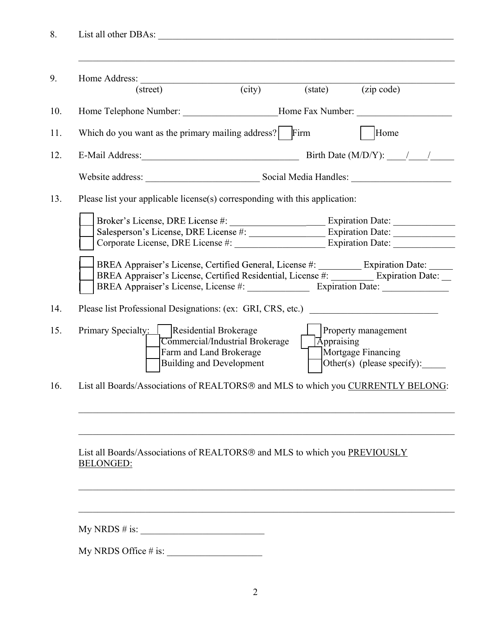|  | ,我们也不能在这里的时候,我们也不能在这里的时候,我们也不能会在这里的时候,我们也不能会在这里的时候,我们也不能会在这里的时候,我们也不能会在这里的时候,我们也<br>Home Address: |        |                   |                                                      |
|--|---------------------------------------------------------------------------------------------------|--------|-------------------|------------------------------------------------------|
|  | (street)                                                                                          | (city) | (state)           | (zip code)                                           |
|  | Home Telephone Number: ________________________Home Fax Number: _________________                 |        |                   |                                                      |
|  | Which do you want as the primary mailing address?                                                 |        | Firm              | Home                                                 |
|  | E-Mail Address: No. 1998                                                                          |        |                   | Birth Date (M/D/Y): $\frac{1}{\sqrt{1-\frac{1}{2}}}$ |
|  | Website address:                                                                                  |        |                   | Social Media Handles:                                |
|  | Please list your applicable license(s) corresponding with this application:                       |        |                   |                                                      |
|  |                                                                                                   |        |                   |                                                      |
|  |                                                                                                   |        |                   |                                                      |
|  |                                                                                                   |        |                   |                                                      |
|  |                                                                                                   |        |                   |                                                      |
|  | Please list Professional Designations: (ex: GRI, CRS, etc.) _____________________                 |        |                   |                                                      |
|  | Primary Specialty: Residential Brokerage                                                          |        |                   | Property management                                  |
|  | Commercial/Industrial Brokerage<br>Farm and Land Brokerage                                        |        | <b>Appraising</b> | Mortgage Financing                                   |
|  | <b>Building and Development</b>                                                                   |        |                   | Other(s) (please specify):                           |
|  | List all Boards/Associations of REALTORS® and MLS to which you CURRENTLY BELONG:                  |        |                   |                                                      |
|  |                                                                                                   |        |                   |                                                      |
|  |                                                                                                   |        |                   |                                                      |
|  | List all Boards/Associations of REALTORS® and MLS to which you PREVIOUSLY                         |        |                   |                                                      |
|  | <b>BELONGED:</b>                                                                                  |        |                   |                                                      |
|  |                                                                                                   |        |                   |                                                      |
|  |                                                                                                   |        |                   |                                                      |
|  | My NRDS # is:                                                                                     |        |                   |                                                      |
|  |                                                                                                   |        |                   |                                                      |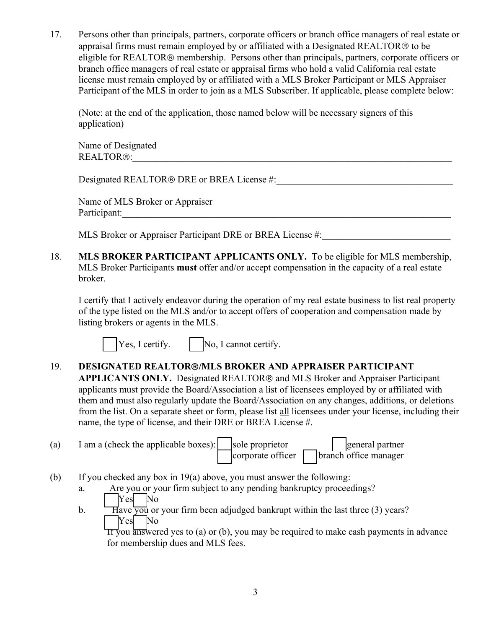17. Persons other than principals, partners, corporate officers or branch office managers of real estate or appraisal firms must remain employed by or affiliated with a Designated REALTOR® to be eligible for REALTOR® membe Persons other than principals, partners, corporate officers or branch office managers of real estate or appraisal firms must remain employed by or affiliated with a Designated REALTOR® to be eligible for REALTOR® membershi Persons other than principals, partners, corporate officers or branch office managers of real estate or appraisal firms must remain employed by or affiliated with a Designated REALTOR® to be eligible for REALTOR® membershi Persons other than principals, partners, corporate officers or branch office managers of real estate or appraisal firms must remain employed by or affiliated with a Designated REALTOR® to be eligible for REALTOR® membershi Persons other than principals, partners, corporate officers or branch office managers of real estate or appraisal firms must remain employed by or affiliated with a Designated REALTOR® to be eligible for REALTOR® membershi Persons other than principals, partners, corporate officers or branch office managers of real estate or appraisal firms must remain employed by or affiliated with a Designated REALTOR® to be eligible for REALTOR® membershi Persons other than principals, partners, corporate officers or branch office managers of real estate or appraisal firms must remain employed by or affiliated with a Designated REALTOR® to be eligible for REALTOR® membershi Persons other than principals, partners, corporate officers or branch office mappraisal firms must remain employed by or affiliated with a Designated REA eligible for REALTOR® membership. Persons other than principals, par Persons other than principals, partners, corporate officers or branch office managers of real estate or appraisal firms must remain employed by or affiliated with a Designated REALTOR® to be origible for REALTOR® membershi Persons other than principals, partners, corporate officers or branch office managers of real cappapiasal firms must remain employed by or affiliated with a Designated REALTOR® to be eligible for REALTOR® membership. Pers Persons other than principals, partners, corporate officers or branch office managers of real estate or appraised firms must remain employed by or affiliated with a Designated REALTOR® to be degited in the signated REALTOR eligible for REALTOR® membership. Persons other than principals, partners, corporate officers or branch office mangers of real estate or appraisal firms who hold a valid California real estate license must emani emphyed by branch office managers of real estate or appraisal firms who hold a valid California real estate<br>license must remain employed by or affiliated with a MLS Broker Participant of MLS Appraiser<br>Participant of the MLS in order

application)

 $REALTOR@:$ 

Participant:

broker.

(Note: at the end of the application, those named below will be necessary signers of this<br>
application)<br>
Name of Designated<br>
REALTOR®:<br>
Designated REALTOR® DRE or BREA License #:<br>
MLS Broker or Appraiser Participant DRE or (Note: at the end of the application, those named below will be necessary signers of this<br>
application)<br>
Name of Designated<br>
REALTOR®:<br>
Designated REALTOR® DRE or BREA License #:<br>
Name of MLS Broker or Appraiser<br>
Participa application)<br>
Name of Designated<br>
REALTOR®:<br>
Designated REALTOR® DRE or BREA License #:<br>
Name of MLS Broker or Appraiser<br>
MLS Broker or Appraiser Participant DRE or BREA License #:<br>
MLS BROKER PARTICIPANT APPLICANTS ONLY. The Signated<br>
TOR®:<br>
Interaction COR Content of REALTOR® DRE or BREALICORS #:<br>
Interaction of MLS Broker or Appraiser<br>
Interaction of BREALICORNTS ONLY. To be eligible for MLS membership,<br>
Interaction Participants must off

19. Designated REALTOR® DRE or BREA License #:<br>
Name of MLS Broker or Appraiser<br>
Participant:<br>
MLS BROKER PARTICIPANT APPLICANTS ONLY. To be eligible for MLS membership,<br>
MLS BROKER PARTICIPANT APPLICANTS ONLY. To be elig Designated REALTOR® DRE or BREA License #:<br>
Name of MLS Broker or Appraiser<br>
Participant:<br>
MLS Broker or Appraiser Participant DRE or BREA License #:<br>
MLS BROKER PARTICIPANT APPLICANTS ONLY. To be eligible for MLS membersh Name of MLS Broker or Appraiser<br>
Participant:<br>
MLS Broker PARTICIPANT APPLICANTS ONLY. To be eligible for MLS membership,<br>
MLS BROKER PARTICIPANT APPLICANTS ONLY. To be eligible for MLS membership,<br>
MLS Broker Participants Name of MLS Broker or Appraiser<br>
MLS Broker or Appraiser Participant DRE or BREA License #:<br>
MLS BROKER PARTICIPANT APPLICANTS ONLY. To be cligible for MLS membership,<br>
MLS Broker Participants must offer and/or accept comp Participant:<br>
MLS Broker or Appraiser Participant DRE or BREA License #:<br>
MLS BROKER PARTICIPANT APPLICANTS ONLY. To be eligible for MLS membership,<br>
MLS Broker Participants must offer and/or accept compensation in the cap MLS Broker or Appraiser Participant DRE or BREA License #:<br>
MLS BROKER PARTICIPANT APPLICANTS ONLY. To be eligible for MLS membership,<br>
MLS Broker Participants must offer and/or accept compensation in the capacity of a rea 18. **MLS BROKER PARTICIPANT APPLICANTS ONLY.** To be eligible for MLS membership,<br>
MLS Broker Participants must offer and/or accept compensation in the capacity of a real estate<br>
broker.<br>
1 certify that 1 actively endeavor **PPLICANTS ONLY.** To be eligible for MLS membership,<br>and/or accept compensation in the capacity of a real estate<br>g the operation of my real estate business to list real property<br>o accept offers of cooperation and compensat broker.<br>
1 certify that I actively endeavor during the operation of my real estate business to list real property<br>
of the type listed on the MLS and/or to accept offers of cooperation and compensation made by<br>
1 isting br I certify that I actively endeavor during the operation of my real estate business to list real property<br>of the type listed on the MLS and/or to accept offers of cooperation and compensation made by<br>listing brokers or age *v* that I actively endeavor during the operation of my real estate business to list<br>ype listed on the MLS and/or to accept offers of cooperation and compensation<br>rockers or agents in the MLS.<br> $\blacksquare$  Yes, I certify.  $\blacksquare$ of the type listed on the MLS and/or to accept offers of cooperation and compensation made by<br>
listing brokers or agents in the MLS.<br> **DESIGNATED REALTOR®** MLS **BROKER AND APPRAISER PARTICIPANT**<br> **APPLICANTS ONLY.** Design The Section of Section 19<br>
The Section of the MLS.<br>
The Section of the MLS.<br>
The Section of the Back Section of MLS Broker and Appraiser Paramits must provide the Board/Association and MLS Broker and Appraiser Paramits mu The Summary of the Summary of the singular states (Separation or and MLS BROKER PARTICIPANT<br>
CANTS ONLY. Designated REALTOR® and MLS Broker and Appraiser Participant<br>
Ints must provide the Board/Association on any changes **For Matter The Matter of the SEAL ASSEM**<br> **EXECUTE ANTED REALTOR® MILS BROKER AND APPRAISER PARTICIPANT**<br> **CANTS ONLY.** Designated REALTOR® and MLS Broker and Appraiser Participant<br>
this must provide the Board/Associatio

- 
- -
	-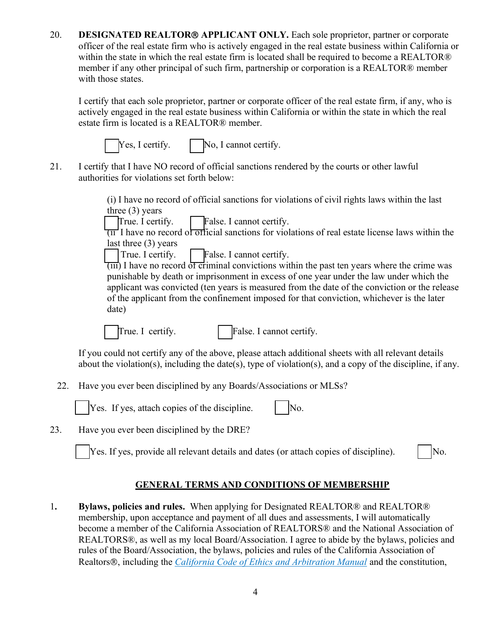20. **DESIGNATED REALTOR® APPLICANT ONLY.** Each sole proprietor, partner or corporate officer of the real estate firm who is actively engaged in the real estate business within California or within the state in which the re **DESIGNATED REALTOR® APPLICANT ONLY.** Each sole proprietor, partner or corporate officer of the real estate firm who is actively engaged in the real estate business within California or within the state in which the real e **DESIGNATED REALTOR® APPLICANT ONLY.** Each sole proprietor, partner or corporate officer of the real estate firm who is actively engaged in the real estate business within California or within the state in which the real **DESIGNATED REALTOR® APPLICANT ONLY**. Each sole proprietor, partner or corporate officer of the real estate firm who is actively engaged in the real estate business within California or within the state in which the real e **DESIGNATED REALTOR® APPLICANT ONLY.** Each sole proprietor, parafficer of the real estate firm who is actively engaged in the real estate business within the state in which the real estate firm is located shall be required **DESIGNATED REALTOR® APPLICANT ONLY.** Each sole proprietor, partner or corporate officer of the real estate firm who is actively engaged in the real estate business within California or within the state in which the real **DESIGNATED REALTOR® APPLICANT ONLY.** Each sole proprietor, partner or corporate officer of the real estate firm who is actively engaged in the real estate business within California or within the state in which the real **DESIGNATED REALTOR® APPLICANT ONLY.** Each sole proprietor, partner or corporate officer of the real estate firm who is actively engaged in the real estate business within California or within the state in which the real e **EXAMPED REALTOR® APPLICANT ONLY.** Each sole proprietor, partner or corporate of the real estate firm who is actively engaged in the real estate business within California or the state in which the real estate firm is loc 20. **DESIGNATED REALTOR® APPLICANT ONLY**. Each sole proprietor, partner or corporate officer of the real estate firm who is actively engaged in the real estate business within California or within the state in which the r **DESIGNATED REALTOR® APPLICANT ONLY.** Each sole proprietor, partner or corporate officer of the real estate firm who is actively engaged in the real estate business within California or within the state in which the real **EXALTOR® APPLICANT ONLY.** Each sole proprietor, partner or corporate of the real estate firm who is actively engaged in the real estate business within California or the state in which the real estate firm is located sha **EXAMPED REALTOR® APPLICANT ONLY.** Each sole proprietor, partner<br>of the real estate firm who is actively engaged in the real estate business with<br>the state in which the real estate firm is located shall be required to bec **EXALTOR® APPLICANT ONLY.** Each sole proprietor, partner or corporate<br>of the real estate firm who is actively engaged in the real estate business within California or<br>the state in which the real estate firm is located sha **EXALTOR® APPLICANT ONLY.** Each sole proprietor, partner or corporate of the real estate firm who is actively engaged in the real estate business within California or the state in which the real estate firm is located sha For the real estate firm who is actively engaged in the real estate business within C:<br>of the real estate firm who is actively engaged in the real estate business within C:<br>the state in which the real estate firm is locate



| True. I certify. | False. I cannot certify |
|------------------|-------------------------|
|------------------|-------------------------|

Frame that the method of the state in expection of the state in which the relation of the state in which the real estate firm is located shall be required to become a REALTOR® if any other principal of such firm, partners Figure 1 and 1 and 1 and 1 and 1 and 1 and 1 and 1 and 1 and 1 and 1 and 1 and 1 and 1 and 1 and 1 and 1 and 1 and 1 and 1 and 1 and 1 and 1 and 1 and 1 and 1 and 1 and 1 and 1 and 1 and 1 and 1 and 1 and 1 and 1 and 1 an For any solution of solution of the real estate firm, if any who is<br>so states.<br>that each sole proprietor, partner or corporate officer of the real estate firm, if any, who is<br>engaged in the real estate business within Cal that each sole entired and the relation of the real estate firm, if any, who is<br>
engaged in the real estate business within California or within the state in which the real<br>
transition is located is a REALTOR® member.<br>  $\$ of that each sole proprietor, partner or corporate officer of the real estate firm, if any, who is<br>
engaged in the real estate business within California or within the state in which the real<br>
im is located is a REALTOR® date) The solution of examples.<br>
The set of the set of the set of the set of the set of the dividends is a certify.<br>
(a) I have no record of official sanctions for violations of civil rights laws within the last<br>
three (3) year If exity that I have NO record of official sanctions rendered by the courts or other lawful<br>authoritis for violations set forth below:<br>(i) I have no record of official sanctions for violations of civil rights laws within I certify that I have NO record of official sanctions rendered by the courts or other lawful<br>authorities for violations set forth below:<br>
(i) I have no record of official sanctions for violations of civil rights laws with 22. Have you ever been disciplined by any Boards/Associations or NLSs?<br>
The space of official sanctions for violations of real estate license laws within the last<br>
three (3) years<br>
True. I certify.<br>
(ii) have no eccord of (*y*) rate) the discrete of the discrete of the discrete of the DRE?<br>
Three (3) years<br>  $\frac{|\text{True}}{|\text{True}}$ . I cannot certify.<br>  $\frac{|\text{True}}{|\text{True}}$ . I cannot certify.<br>  $\frac{|\text{True}}{|\text{True}}$ . I have no record of orificial sanctions fo The section of the disciplined by the DRE?<br>
23. Have you ever been disciplined by the DRE?<br>
23. Have you ever been disciplined by the DRE?<br>
23. Have you ever been disciplined by the DRE?<br>
23. Have you ever been disciplined The expectation of critical Figure all relevant details and dates (or attach copies of discipline).<br>
The explicial relevant details convictions within the past ten years where the crime was<br>
punishable by death or imprison





Solution and the Machine and the National Association of the California Association and the Value of the Capital<br>to the convicted (ten years is measured from the date of the conviction or the release<br>pplicant from the conf 1. Bylaws, policies and rules. When applying for Designated REALTOR® and REALTOR®<br>
1. Bylaws, policies and rules. When applying for Designations of MLSs?<br>
1. Bylaws you ever been disciplined by any Boards/Associations or M True. I certify.<br>
If you could not certify any of the above, please attach additional sheets with all relevant details<br>
about the violation(s), including the date(s), type of violation(s), and a copy of the discipline, if Frue. I certify.  $\Box$  Fralse. I cannot certify.<br>
If you could not certify any of the above, please attach additional sheets with all relevant details<br>
about the violation(s), including the date(s), type of violation(s), a Example 18 and a metally as the density of the distinctional sheets with all relevant details<br>about the violation(s), including the date(s), type of violation(s), and a copy of the discipline, if any.<br>Have you ever been d If you could not certify any of the above, please attach additional sheets with all relevant details<br>about the violation(s), including the date(s), type of violation(s), and a copy of the discipline, if any.<br>Have you ever EXTERT THE VIDEOS ASSOCIATED AND CONDITIONS OF MEAST PROPERTIES (Fany, Have you ever been disciplined by any Boards/Associations or MLSs?<br>
The Sec. If yes, attach copies of the discipline. [No. Box 1915]<br>
No. Have you eve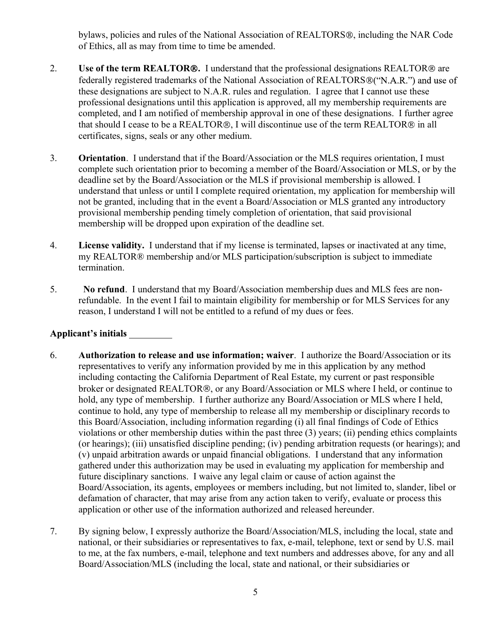- bylaws, policies and rules of the National Association of REALTORS<sup>®</sup>, including the NAR Code<br>of Ethics, all as may from time to time be amended.<br>Use of the term REALTOR®. I understand that the professional designations RE bylaws, policies and rules of the National Association of REALTORS<sup>®</sup>, including the NAR Code<br>of Ethics, all as may from time to time be amended.<br>Use of the term REALTOR®. I understand that the professional designations RE bylaws, policies and rules of the National Association of REALTORS®, including the NAR Code<br>of Ethics, all as may from time to time be amended.<br>2. Use of the term REALTOR®. I understand that the professional designations R bylaws, policies and rules of the National Association of REALTORS®, including the NAR Code<br>of Ethics, all as may from time to time be amended.<br>Use of the term REALTOR®. I understand that the professional designations REAL bylaws, policies and rules of the National Association of REALTORS®, including the NAR Code<br>of Ethics, all as may from time to time be amended.<br>Use of the term REALTOR®. I understand that the professional designations REAL bylaws, policies and rules of the National Association of REALTORS®, including the NAR Code<br>of Ethics, all as may from time to time be amended.<br>Use of the term REALTOR®. I understand that the professional designations REAL bylaws, policies and rules of the National Association of REALTORS®, including the NAR Code<br>of Ethics, all as may from time to time be amended.<br>Use of the term REALTOR®. I understand that the professional designations REAL bylaws, policies and rules of the National Association of REALTORS®, including the NAR Code<br>of Ethics, all as may from time to time be amended.<br>Use of the term REALTOR®. I understand that the professional designations REAL bylaws, policies and rules of the National Association of REALTORS®, including the NAR Code<br>of Ethics, all as may from time to time be amended.<br>Use of the term REALTOR®. I understand that the professional designations REAL bylaws, policies and rules of the National Association of REALTORS®, including the NAR Code<br>of Ethics, all as may from time to time be amended.<br>2. Use of the term REALTOR®. I understand that the professional designations R by laws, policics and rules of the National Association of REALTORS®, including the NAR Code<br>of Ethics, all as may from time to time be amended.<br>Use of the term REALTOR®. I understand that the professional designations REA by laws, policies and rules of the National Association of REALTORS®, including the NAR Code<br>of Ethics, all as may from time to time be amended.<br>Use of the term REALTOR®. I understand that the professional designations REA by extramely and rules of the National Association of REALTORS®, including the NAR Code<br>of Ethics, all as may from time to time be amended.<br>Use of the term REALTOR®. I understand that the professional designations REALTOR® by a state of the National Association of REALTORS®, including the NAR Code<br>of Ethics, all as may from time to time be annended.<br>Use of the term REALTOR®. I understand that the professional designations REALTOR® are<br>federa bylaws, policies and rules of the National Association of REALTORS®, including the NAR Code<br>of Ethics, all as may from time to time be amended.<br>Use of the term REALTOR®. I understand that the professional designations REAL bylaws, policies and rules of the National Association of REALTORS®, including the NAR Code<br>of Ethics, all as may from time to time be annended.<br>Use of the term REALTOR®. I understand that the professional designations REA of Ethics, all as may from time to time be amended.<br>
2. Use of the term REALTOR®. 1 understand that the professional designations REALTOR® are federally registered trademarks of the National Association of REALTOR® ("N.A. Use of the term REALTOR®. I understand that the professional designations REALTOR® are federally registered trademarks of the National Association of REALTOR®("N.A.R.") and use of these designations are subject to N.A.R. r
- these designations are subject to N.A.R. rules and regulation. I agree that I cannot use these professional designations until this application is approved, all my membership requirements are completed, and I am notified o professional designations until this appliedion is approved, all my membership requirements are<br>completed, and I am notified of membership approval in one of these designations. I further agree<br>that should I case to be a R completed, and I am notified of membership approval in one of these designations. I further agreed that should I cease to be a REALTOR® in all information and the about a refund Resear to be a REALTOR® in all orientation. 3. **Orientation**. I understand that if the Board/Association or the MLS requires orientation, I must<br>complete such orientation prior to becoming a member of the Board/Association or the MLS if provisional membership is al
- termination.
- 

- or extendion prior to becoming a member of the Board/Association or MLS, or by the dealine set by the Nord/Association or the MLS if provisional membership is allowed. I understand that unless or until I complete required including contaction of the Board/Association or the MLS if provisional membership is allowed. I<br>deadline set by the Board/Association or the MLS if provisional membership is allowed. I<br>understand that unless or until I co **Example 19** and the method in the event and the event of the method. They are the model gradient in the event a Board/Association or MLS granted any introductory provisional membership pending timely completion of orienta not be granted, including that in the event a Board/Association or MLS granted any introductory<br>provisional membership pending timely completion of orientation, that said provisional<br>membership will be dropped upon expirat provisional membership pending timely completion of orientation, that said provisional<br>membership will be dropped upon expiration of the deadline set.<br>License validity. I understand that if my license is terminated, lapses membership will be dropped upon expiration of the deadline set.<br>
License validity. I understand that if my license is terminated, lapses or inactivated at any time,<br>
my REALTOR® membership and/or MLS participation/subscrip Extense validity. I understand that if my license is terminated, lapses or inactivated at any time,<br>License validity. I understand that if my license is terminated, lapses or inactivated at any time,<br>three membership and/o License validity. I understand that if my license is terminated, lapses or inactivated at any time,<br>the my REALTOR® membership and/or MLS participation/subscription is subject to immediate<br>termination.<br>No refund. I underst my REALTOR® membership and/or MLS participation/subscription is subject to immediate<br>termination.<br>No refund. I understand that my Board/Association membership dues and MLS fees are non-<br>refundable. In the event I fail to m emination.<br> **No refund.** I understand that my Board/Association membership dues and MLS fees are non-<br>refundable. In the event I fail to maintain eligibility for membership or for MLS Services for any<br>reason, I understand **No refund.** I understand that my Board/Association membership dues and MLS fees are non-<br>refundable. In the event I fail to maintain eligibility for membership or for MLS Services for any<br>reason, I understand I will not No refund. I understand that my Board/Association membership dues and MLS fees are non-<br>retinuable. In the event I fail to maintain eligibility for membership or for MLS Services for any<br>reason, J understand I will not be refundable. In the event I fail to maintain eligibility for membership or for MLS Services for any reason, I understand I will not be entitled to a refund of my dues or fees.<br> **Authorization to release and use information;** reason, I understand I will not be entitled to a refund of my dues or fees.<br> **ant's initials**<br> **Authorization to release and use information**; waiver. I authorize the Board/Association or its<br>
representatives to verify any Applicant's initials <br>
6. **Authorization to release and use information;** waiver. 1 authorize the Board/Association or its<br>
representatives to verify any information provided by me in this application by any method<br>
includ Authorization to release and use information; waiver. I authorize the Board/Association or its<br>representatives to verify any information provided by me in this application by any method<br>including contacting the California Authorization to release and use information; waiver. I authorize the Board/Association or its implication by any information provided by non in this application by any method they implication product including contacting representatives to verify any information provided by me in this application by any method by<br>the charge denacting the California Department of Real Estate, my current or past responsible<br>broker or designated REALTOR®, or
-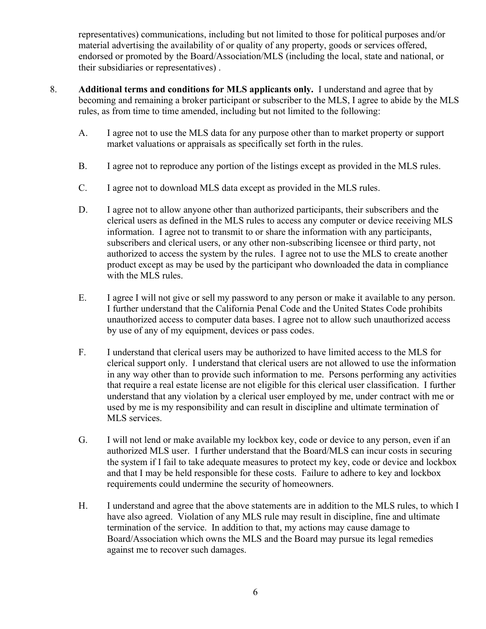representatives) communications, including but not limited to those for political purposes and/or<br>material advertising the availability of or quality of any property, goods or services offered,<br>endorsed or promoted by the representatives) communications, including but not limited to those for political purposes and/or<br>material advertising the availability of or quality of any property, goods or services offered,<br>endorsed or promoted by the representatives) communications, including but not limited to those for political purposes and/or<br>material advertising the availability of or quality of any property, goods or services offered,<br>endorsed or promoted by the representatives) communications, including but not limited to those for political purposes and/or material advertising the availability of or quality of any property, goods or services offered, endorsed or promoted by the representatives) communications, including but not limited to those for political purposes and/or material advertising the availability of or quality of any property, goods or services offered, endorsed or promoted by the representatives) communications, including but not limited to those for political purposes and/or<br>material advertising the availability of or quality of any property, goods or services offered,<br>endorsed or promoted by the representatives) communications, including but not limited to those for political purposes and/or material advertising the availability of or quality of any property, goods or services offered, endorsed or promoted by the representatives) communications, including but not limited to those for political purposes and/or<br>material advertising the availability of or quality of any property, goods or services offered,<br>endorsed or promoted by the ntatives) communications, including but not limited to those for political purposes and/or<br>al dot promoted by the Board/Association/MLS (including the local, state and national, or<br>bsidiaries or representatives).<br>**Dual ter** representatives) communications, including but not limited to those for political purposes and/or material advertising the availability of or quality of any property, goods or scrvices offered, enclosed or promoted by the representatives) communications, including but not limited to those for political purposes and/or material advertising the availability of or quality of any property, goods or services offered, endorsed or promoted by the

- -
	-
	-
- representatives) communications, including but not limited to those for political purposes and/or<br>material advertising the availability of or quality of any property, goods or services offered,<br>enchorsed or promoted by the ntatives) communications, including but not limited to those for political purposes and/or<br>al advertising the availability of or quality of any property, goods or services offered,<br>dor promoted by the Board/Association/MLS ntatives) communications, including but not limited to those for political purposes and/or<br>I advertising the availability of or quality of any property, goods or services offered,<br>do repronoted by the Boota/Association/MLS subscribers and clerical users are defined by the multiple particle with the MLS interest and the matter of the MLS (including the local, state and rational, or bsidiaries or representatives).<br> **Dual terms and conditions f** and the meaning and **contained to access the system by the participant** who download the data in complisions of dor promoted by the Board/Association/MLS (including the local, state and national, or bsidiaries or represent Constrained to the may be used by the participant who downloaded the participant and participant and the participant or subscriber to the MLS, I agree to abide by the MLS from time to time amended, including but not limite busianties of representatives).<br>
Somewher and conditions for MLS applicants only. I understand and agree that<br>
ing and remaining a broker participant or subscriber to the MLS, I agree to abide by<br>
I agree not to use the ML E. I agree not to use the MLS and experience or sell my password to any person or make it available to any person<br>Theorem and remaining a broker participant or subscriber to the MLS, I agree to abide by the MLS<br>and the mu In the multimagnet and the MLS data for any purpose other than to market property or support analysis from time to time amended, including but not limited to the following:<br>I agree not to use the MLS data for any purpose o I agree not to use the MLS data for any purpose other than to market property or support<br>ancket valuations or appraisals as specifically set forth in the rules.<br>I agree not to reproduce any portion of the listings except a I agree not to use the MLS data for any purpose other than to market property or support market valuations or appraisals as specifically set forth in the rules.<br>
I agree not to teproduce any portion of the listings except F. I agree not to eproduce any portion of the listings except as provided in the MLS rules.<br>
The agree not to download MLS data except as provided in the MLS rules.<br>
D. I agree not to download MLS data except as provided i I agree not to reproduce any portion of the listings except as provided in the MLS rules.<br>
I agree not to allow anyone other than authorized participants, their subscribers and the Clerical users as defined in the MLS rule I agree not to download MLS data except as provided in the MLS rules.<br>I agree not to download MLS data except as provided in the MLS rules.<br>Information. I agree not to allow anyone other than authorized participants, their I agree not to download MLS data except as provided in the MLS rules.<br>
I agree not to allow anyone other than authorized participants, their subscribers and the elerical users as defined in the MLS rules to access any comp I agree not to alonmoda trinos data sacelyt any provided in the *mass* ratio.<br>I agree not to allow any one other than authorized participants, their subscribers and the information. I agree not to transmit to or share the I agree not to allow anyone other than authorized participants, their subscribers and the clerical users as defined in the MLS ruls to access any computer or device receiving MLS information. I agree not to transmit to or
	-
	- Separation and Multimation and Multimative products and the System and Separative product and the system in formation. I agree not to transmit to or share the information with any pubscribers and clerical users, or any oth Motion and elected users, or any other non-subserbiting licensee or third party, not<br>authorized to access the system by the rules. I agree not to use the MLS to create another<br>authorized to access the system by the rules. and the material and the method of the security and the Board/MLS can incurred to the MLS user. In the method of the method of the particular the MLS viewer as may be used by the participant who downloaded the data in comp and the MLS services and the system in the system in the system in the MLS rules, to which I and the system or the system of the system of the MLS rules.<br>
	I agree I will not give or sell my password to any person or make i proton that I may be solved by the particular more downloaded in edual in othipatative with the MLS rules.<br>
	I agree I will not give or sell my password to any person or make it available to any person.<br>
	I further understa Fram the Fraction of the security of the security of homeometric functions of the security of the security of the security of the security of the security of the security of the security of the security of the security of H. I further understand that the Baltionia Penal Code and the United States Code prohibits<br>
	unauthorized access to computer data bases. I agree not to allow such unauthorized access<br>
	by use of any of my equiparent, devices Fact that is a computer data bases. I agree not to allow such unauthorized access<br>by use of any of my equipment, devices or pass codes.<br>I understand that clerical users may be authorized to have limited access to the MLS f the service of the service is a different which we serve the service and the service of the MLS for elerical support only. I understand that clerical users are not allowed to use the information in any way other than to pr by the or any or my equipment, terviews or plane to taxe limited access to the MLS for<br>I enderstand that clerical users may be authorized to have limited access to the MLS for<br>clerical support only. I understand that cleri I understand that clerical users may be authorized to have limited access to the MLS for electrical support only. I understand that clerical users are not allowed to use the information in any way other than to provide suc
	-
	-